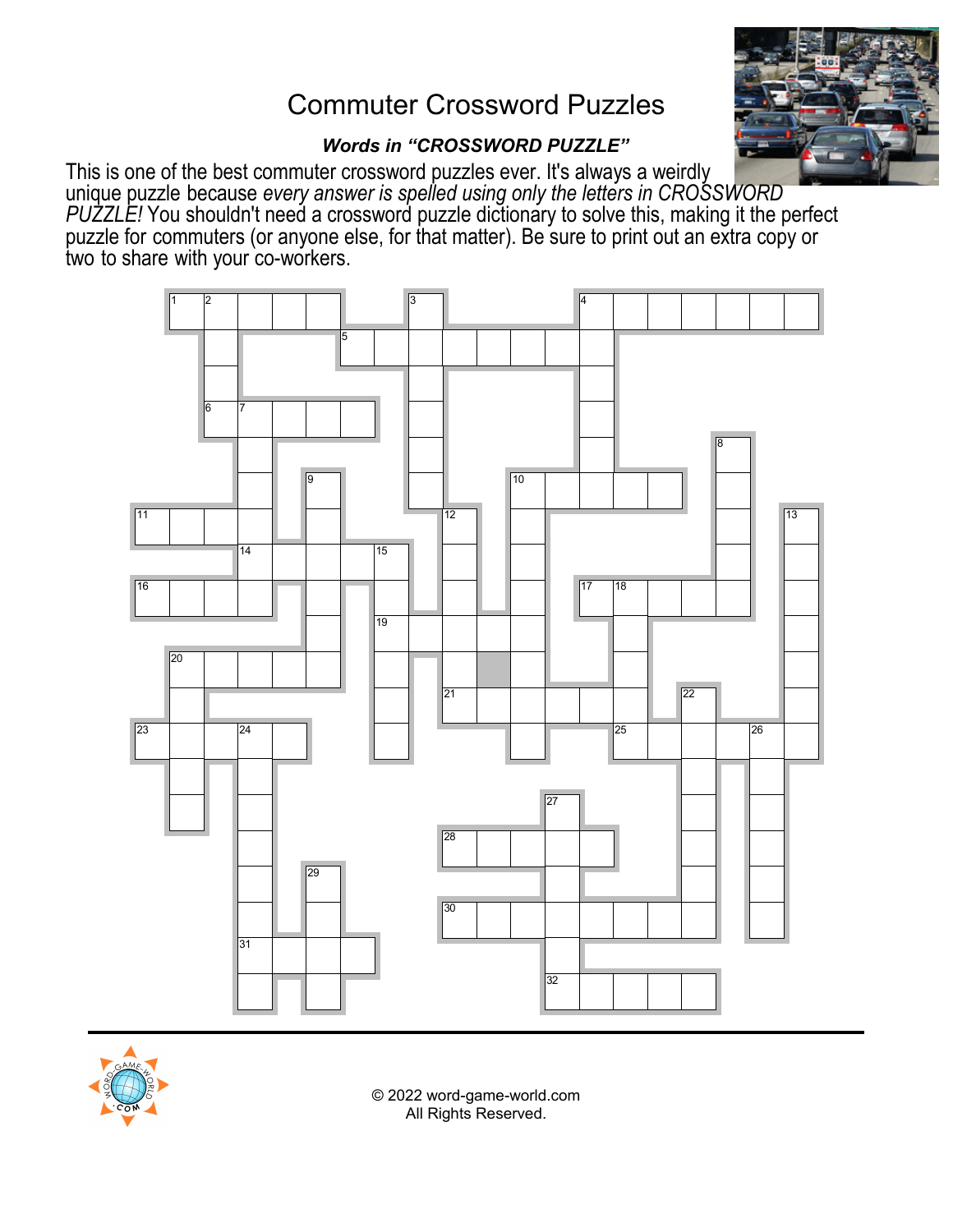# Commuter Crossword Puzzles



## *Words in "CROSSWORD PUZZLE"*

This is one of the best commuter crossword puzzles ever. It's always a weirdly unique puzzle because *every answer is spelled using only the letters in CROSSWORD PUZZLE!* You shouldn't need a crossword puzzle dictionary to solve this, making it the perfect puzzle for commuters (or anyone else, for that matter). Be sure to print out an extra copy or two to share with your co-workers.





© 2022 word-game-world.com All Rights Reserved.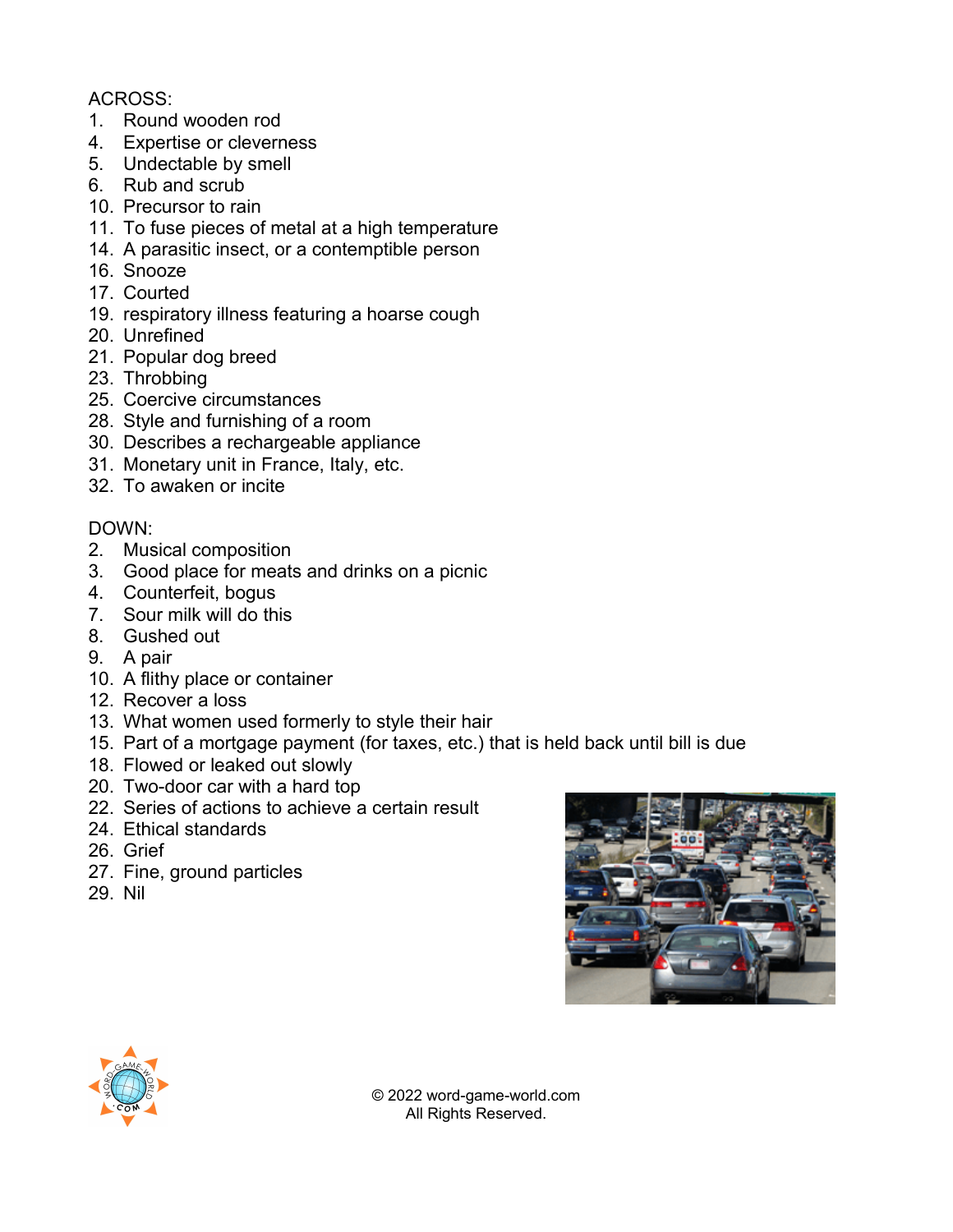### ACROSS:

- 1. Round wooden rod
- 4. Expertise or cleverness
- 5. Undectable by smell
- 6. Rub and scrub
- 10. Precursor to rain
- 11. To fuse pieces of metal at a high temperature
- 14. A parasitic insect, or a contemptible person
- 16. Snooze
- 17. Courted
- 19. respiratory illness featuring a hoarse cough
- 20. Unrefined
- 21. Popular dog breed
- 23. Throbbing
- 25. Coercive circumstances
- 28. Style and furnishing of a room
- 30. Describes a rechargeable appliance
- 31. Monetary unit in France, Italy, etc.
- 32. To awaken or incite

#### DOWN:

- 2. Musical composition
- 3. Good place for meats and drinks on a picnic
- 4. Counterfeit, bogus
- 7. Sour milk will do this
- 8. Gushed out
- 9. A pair
- 10. A flithy place or container
- 12. Recover a loss
- 13. What women used formerly to style their hair
- 15. Part of a mortgage payment (for taxes, etc.) that is held back until bill is due
- 18. Flowed or leaked out slowly
- 20. Two-door car with a hard top
- 22. Series of actions to achieve a certain result
- 24. Ethical standards
- 26. Grief
- 27. Fine, ground particles
- 29. Nil